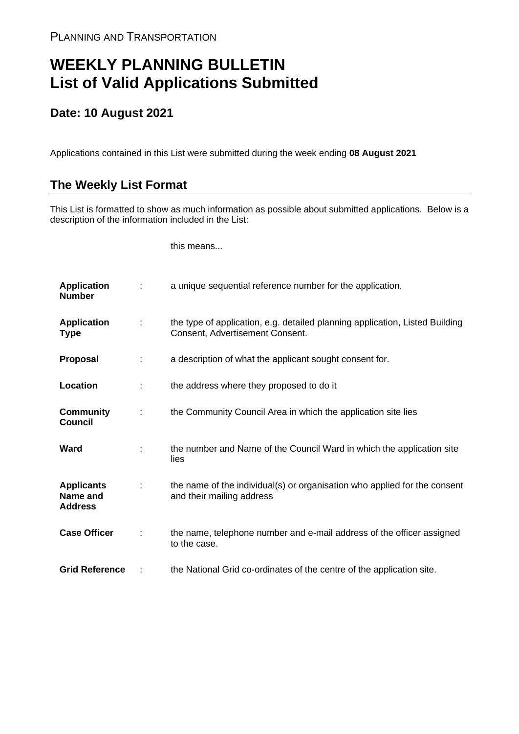## **WEEKLY PLANNING BULLETIN List of Valid Applications Submitted**

## **Date: 10 August 2021**

Applications contained in this List were submitted during the week ending **08 August 2021**

## **The Weekly List Format**

This List is formatted to show as much information as possible about submitted applications. Below is a description of the information included in the List:

this means...

| <b>Application</b><br><b>Number</b>             |   | a unique sequential reference number for the application.                                                       |
|-------------------------------------------------|---|-----------------------------------------------------------------------------------------------------------------|
| <b>Application</b><br><b>Type</b>               |   | the type of application, e.g. detailed planning application, Listed Building<br>Consent, Advertisement Consent. |
| Proposal                                        |   | a description of what the applicant sought consent for.                                                         |
| Location                                        |   | the address where they proposed to do it                                                                        |
| <b>Community</b><br><b>Council</b>              | ÷ | the Community Council Area in which the application site lies                                                   |
| Ward                                            |   | the number and Name of the Council Ward in which the application site<br>lies                                   |
| <b>Applicants</b><br>Name and<br><b>Address</b> |   | the name of the individual(s) or organisation who applied for the consent<br>and their mailing address          |
| <b>Case Officer</b>                             |   | the name, telephone number and e-mail address of the officer assigned<br>to the case.                           |
| <b>Grid Reference</b>                           |   | the National Grid co-ordinates of the centre of the application site.                                           |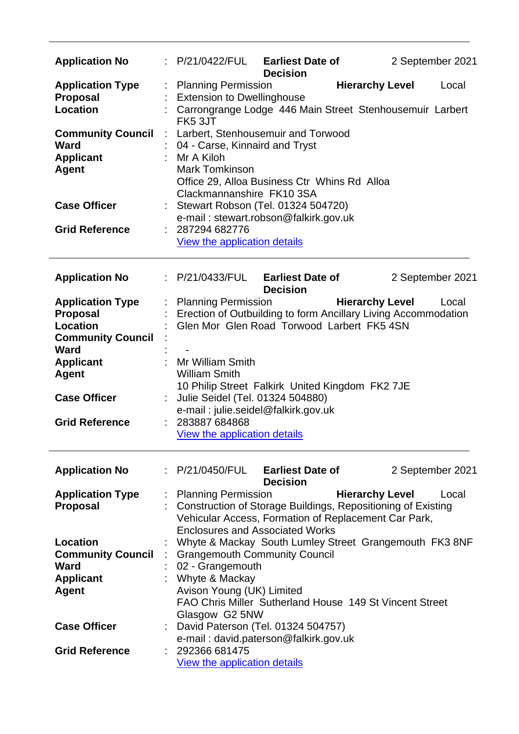| <b>Application No</b>    |                           | : P/21/0422/FUL                                                | <b>Earliest Date of</b><br><b>Decision</b> |                        |  | 2 September 2021 |
|--------------------------|---------------------------|----------------------------------------------------------------|--------------------------------------------|------------------------|--|------------------|
| <b>Application Type</b>  | ÷                         | <b>Planning Permission</b>                                     |                                            | <b>Hierarchy Level</b> |  | Local            |
| <b>Proposal</b>          |                           | <b>Extension to Dwellinghouse</b>                              |                                            |                        |  |                  |
| Location                 |                           | Carrongrange Lodge 446 Main Street Stenhousemuir Larbert       |                                            |                        |  |                  |
|                          |                           | FK5 3JT                                                        |                                            |                        |  |                  |
| <b>Community Council</b> | $\ddot{\phantom{a}}$      | Larbert, Stenhousemuir and Torwood                             |                                            |                        |  |                  |
| <b>Ward</b>              |                           | 04 - Carse, Kinnaird and Tryst                                 |                                            |                        |  |                  |
| <b>Applicant</b>         |                           | Mr A Kiloh                                                     |                                            |                        |  |                  |
| <b>Agent</b>             |                           | <b>Mark Tomkinson</b>                                          |                                            |                        |  |                  |
|                          |                           | Office 29, Alloa Business Ctr Whins Rd Alloa                   |                                            |                        |  |                  |
|                          |                           | Clackmannanshire FK10 3SA                                      |                                            |                        |  |                  |
| <b>Case Officer</b>      |                           | Stewart Robson (Tel. 01324 504720)                             |                                            |                        |  |                  |
|                          |                           | e-mail: stewart.robson@falkirk.gov.uk                          |                                            |                        |  |                  |
| <b>Grid Reference</b>    |                           | 287294 682776                                                  |                                            |                        |  |                  |
|                          |                           | View the application details                                   |                                            |                        |  |                  |
| <b>Application No</b>    |                           | : P/21/0433/FUL                                                | <b>Earliest Date of</b>                    |                        |  | 2 September 2021 |
|                          |                           |                                                                | <b>Decision</b>                            |                        |  |                  |
| <b>Application Type</b>  | ÷                         | <b>Planning Permission</b>                                     |                                            | <b>Hierarchy Level</b> |  | Local            |
| <b>Proposal</b>          |                           | Erection of Outbuilding to form Ancillary Living Accommodation |                                            |                        |  |                  |
| Location                 |                           | Glen Mor Glen Road Torwood Larbert FK5 4SN                     |                                            |                        |  |                  |
| <b>Community Council</b> |                           |                                                                |                                            |                        |  |                  |
| <b>Ward</b>              |                           |                                                                |                                            |                        |  |                  |
| <b>Applicant</b>         | ÷                         | Mr William Smith                                               |                                            |                        |  |                  |
| <b>Agent</b>             |                           | <b>William Smith</b>                                           |                                            |                        |  |                  |
|                          |                           | 10 Philip Street Falkirk United Kingdom FK2 7JE                |                                            |                        |  |                  |
| <b>Case Officer</b>      |                           | Julie Seidel (Tel. 01324 504880)                               |                                            |                        |  |                  |
|                          |                           | e-mail: julie.seidel@falkirk.gov.uk                            |                                            |                        |  |                  |
| <b>Grid Reference</b>    |                           | 283887 684868                                                  |                                            |                        |  |                  |
|                          |                           | View the application details                                   |                                            |                        |  |                  |
| <b>Application No</b>    |                           | : P/21/0450/FUL                                                | <b>Earliest Date of</b>                    |                        |  | 2 September 2021 |
|                          |                           |                                                                | <b>Decision</b>                            |                        |  |                  |
| <b>Application Type</b>  |                           | <b>Planning Permission</b>                                     |                                            | <b>Hierarchy Level</b> |  | Local            |
| <b>Proposal</b>          |                           | Construction of Storage Buildings, Repositioning of Existing   |                                            |                        |  |                  |
|                          |                           | Vehicular Access, Formation of Replacement Car Park,           |                                            |                        |  |                  |
|                          |                           | <b>Enclosures and Associated Works</b>                         |                                            |                        |  |                  |
| Location                 |                           | Whyte & Mackay South Lumley Street Grangemouth FK3 8NF         |                                            |                        |  |                  |
| <b>Community Council</b> |                           | <b>Grangemouth Community Council</b>                           |                                            |                        |  |                  |
| Ward                     |                           | 02 - Grangemouth                                               |                                            |                        |  |                  |
| <b>Applicant</b>         |                           | Whyte & Mackay                                                 |                                            |                        |  |                  |
| <b>Agent</b>             | Avison Young (UK) Limited |                                                                |                                            |                        |  |                  |
|                          |                           | FAO Chris Miller Sutherland House 149 St Vincent Street        |                                            |                        |  |                  |
|                          |                           | Glasgow G2 5NW                                                 |                                            |                        |  |                  |
| <b>Case Officer</b>      |                           | David Paterson (Tel. 01324 504757)                             |                                            |                        |  |                  |
|                          |                           | e-mail: david.paterson@falkirk.gov.uk                          |                                            |                        |  |                  |
| <b>Grid Reference</b>    |                           | 292366 681475                                                  |                                            |                        |  |                  |
|                          |                           | View the application details                                   |                                            |                        |  |                  |
|                          |                           |                                                                |                                            |                        |  |                  |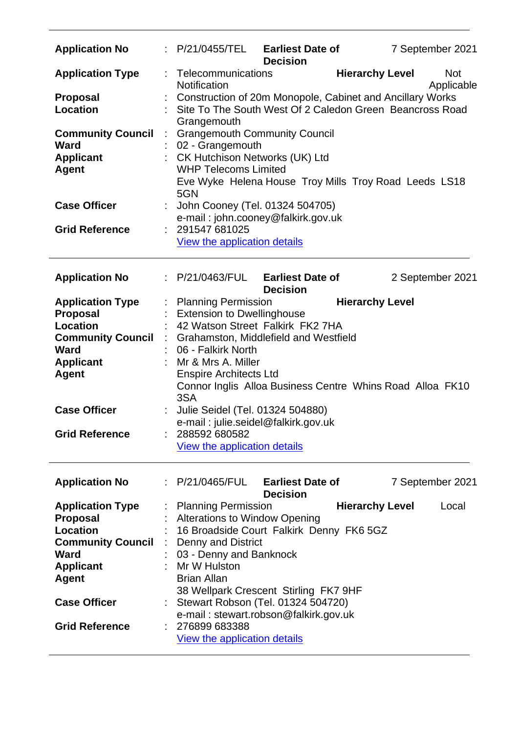| <b>Application No</b>                                                                                                                                                                 |    | : P/21/0455/TEL                                                                                                                                                                                                                                                                                                                                                                       | <b>Earliest Date of</b><br><b>Decision</b> |                        | 7 September 2021         |
|---------------------------------------------------------------------------------------------------------------------------------------------------------------------------------------|----|---------------------------------------------------------------------------------------------------------------------------------------------------------------------------------------------------------------------------------------------------------------------------------------------------------------------------------------------------------------------------------------|--------------------------------------------|------------------------|--------------------------|
| <b>Application Type</b>                                                                                                                                                               | t. | Telecommunications<br>Notification                                                                                                                                                                                                                                                                                                                                                    |                                            | <b>Hierarchy Level</b> | <b>Not</b><br>Applicable |
| <b>Proposal</b><br><b>Location</b>                                                                                                                                                    |    | Construction of 20m Monopole, Cabinet and Ancillary Works<br>: Site To The South West Of 2 Caledon Green Beancross Road<br>Grangemouth                                                                                                                                                                                                                                                |                                            |                        |                          |
| <b>Community Council</b><br>Ward<br><b>Applicant</b><br><b>Agent</b>                                                                                                                  |    | <b>Grangemouth Community Council</b><br>02 - Grangemouth<br>CK Hutchison Networks (UK) Ltd<br><b>WHP Telecoms Limited</b><br>Eve Wyke Helena House Troy Mills Troy Road Leeds LS18<br>5GN                                                                                                                                                                                             |                                            |                        |                          |
| <b>Case Officer</b>                                                                                                                                                                   |    | John Cooney (Tel. 01324 504705)<br>e-mail: john.cooney@falkirk.gov.uk                                                                                                                                                                                                                                                                                                                 |                                            |                        |                          |
| <b>Grid Reference</b>                                                                                                                                                                 |    | : 291547 681025<br>View the application details                                                                                                                                                                                                                                                                                                                                       |                                            |                        |                          |
| <b>Application No</b>                                                                                                                                                                 |    | : P/21/0463/FUL                                                                                                                                                                                                                                                                                                                                                                       | <b>Earliest Date of</b><br><b>Decision</b> |                        | 2 September 2021         |
| <b>Application Type</b><br><b>Proposal</b><br><b>Location</b><br><b>Community Council</b><br><b>Ward</b><br><b>Applicant</b><br><b>Agent</b>                                          |    | : Planning Permission<br><b>Extension to Dwellinghouse</b><br>42 Watson Street Falkirk FK2 7HA<br>Grahamston, Middlefield and Westfield<br>: 06 - Falkirk North<br>Mr & Mrs A. Miller<br><b>Enspire Architects Ltd</b>                                                                                                                                                                |                                            | <b>Hierarchy Level</b> |                          |
| <b>Case Officer</b>                                                                                                                                                                   |    | Connor Inglis Alloa Business Centre Whins Road Alloa FK10<br>3SA<br>Julie Seidel (Tel. 01324 504880)                                                                                                                                                                                                                                                                                  |                                            |                        |                          |
| <b>Grid Reference</b>                                                                                                                                                                 |    | e-mail: julie.seidel@falkirk.gov.uk<br>288592 680582<br>View the application details                                                                                                                                                                                                                                                                                                  |                                            |                        |                          |
| <b>Application No</b>                                                                                                                                                                 |    | : P/21/0465/FUL Earliest Date of                                                                                                                                                                                                                                                                                                                                                      | <b>Decision</b>                            |                        | 7 September 2021         |
| <b>Application Type</b><br>Proposal<br><b>Location</b><br><b>Community Council</b><br><b>Ward</b><br><b>Applicant</b><br><b>Agent</b><br><b>Case Officer</b><br><b>Grid Reference</b> |    | <b>Planning Permission</b><br><b>Alterations to Window Opening</b><br>16 Broadside Court Falkirk Denny FK6 5GZ<br><b>Denny and District</b><br>03 - Denny and Banknock<br>Mr W Hulston<br><b>Brian Allan</b><br>38 Wellpark Crescent Stirling FK7 9HF<br>Stewart Robson (Tel. 01324 504720)<br>e-mail: stewart.robson@falkirk.gov.uk<br>276899 683388<br>View the application details |                                            | <b>Hierarchy Level</b> | Local                    |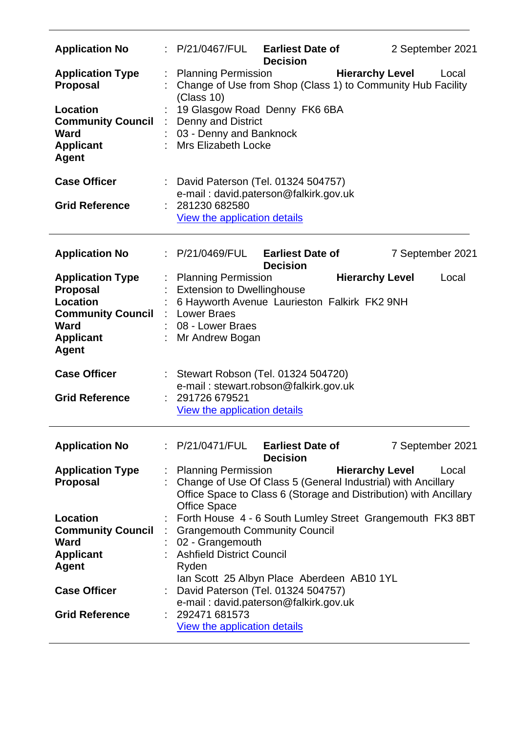| <b>Application No</b>                                      |                               | : P/21/0467/FUL                                                                                                                                                                     | <b>Earliest Date of</b><br><b>Decision</b> |                        | 2 September 2021 |
|------------------------------------------------------------|-------------------------------|-------------------------------------------------------------------------------------------------------------------------------------------------------------------------------------|--------------------------------------------|------------------------|------------------|
| <b>Application Type</b><br><b>Proposal</b>                 |                               | <b>Planning Permission</b><br>Change of Use from Shop (Class 1) to Community Hub Facility<br>(Class 10)                                                                             |                                            | <b>Hierarchy Level</b> | Local            |
| <b>Location</b><br><b>Community Council</b><br><b>Ward</b> |                               | 19 Glasgow Road Denny FK6 6BA<br>Denny and District<br>03 - Denny and Banknock                                                                                                      |                                            |                        |                  |
| <b>Applicant</b><br><b>Agent</b>                           |                               | <b>Mrs Elizabeth Locke</b>                                                                                                                                                          |                                            |                        |                  |
| <b>Case Officer</b>                                        |                               | : David Paterson (Tel. 01324 504757)<br>e-mail: david.paterson@falkirk.gov.uk                                                                                                       |                                            |                        |                  |
| <b>Grid Reference</b>                                      |                               | 281230 682580<br><b>View the application details</b>                                                                                                                                |                                            |                        |                  |
| <b>Application No</b>                                      |                               | : P/21/0469/FUL                                                                                                                                                                     | <b>Earliest Date of</b><br><b>Decision</b> |                        | 7 September 2021 |
| <b>Application Type</b>                                    |                               | : Planning Permission                                                                                                                                                               |                                            | <b>Hierarchy Level</b> | Local            |
| <b>Proposal</b><br><b>Location</b>                         |                               | <b>Extension to Dwellinghouse</b><br>6 Hayworth Avenue Laurieston Falkirk FK2 9NH                                                                                                   |                                            |                        |                  |
| <b>Community Council</b>                                   |                               | : Lower Braes                                                                                                                                                                       |                                            |                        |                  |
| <b>Ward</b>                                                |                               | 08 - Lower Braes                                                                                                                                                                    |                                            |                        |                  |
| <b>Applicant</b><br><b>Agent</b>                           |                               | Mr Andrew Bogan                                                                                                                                                                     |                                            |                        |                  |
| <b>Case Officer</b>                                        |                               | : Stewart Robson (Tel. 01324 504720)<br>e-mail: stewart.robson@falkirk.gov.uk                                                                                                       |                                            |                        |                  |
| <b>Grid Reference</b>                                      |                               | 291726 679521                                                                                                                                                                       |                                            |                        |                  |
|                                                            |                               | View the application details                                                                                                                                                        |                                            |                        |                  |
| <b>Application No</b>                                      |                               | : P/21/0471/FUL                                                                                                                                                                     | <b>Earliest Date of</b><br><b>Decision</b> |                        | 7 September 2021 |
| <b>Application Type</b><br><b>Proposal</b>                 |                               | : Planning Permission<br>: Change of Use Of Class 5 (General Industrial) with Ancillary<br>Office Space to Class 6 (Storage and Distribution) with Ancillary<br><b>Office Space</b> |                                            | <b>Hierarchy Level</b> | Local            |
| Location                                                   |                               | : Forth House 4 - 6 South Lumley Street Grangemouth FK3 8BT                                                                                                                         |                                            |                        |                  |
| <b>Community Council</b>                                   | $\mathcal{I}^{\mathcal{I}}$ . | <b>Grangemouth Community Council</b>                                                                                                                                                |                                            |                        |                  |
| <b>Ward</b>                                                |                               | 02 - Grangemouth                                                                                                                                                                    |                                            |                        |                  |
| <b>Applicant</b>                                           |                               | : Ashfield District Council                                                                                                                                                         |                                            |                        |                  |
| <b>Agent</b>                                               |                               | Ryden                                                                                                                                                                               |                                            |                        |                  |
|                                                            |                               | Ian Scott 25 Albyn Place Aberdeen AB10 1YL                                                                                                                                          |                                            |                        |                  |
| <b>Case Officer</b>                                        |                               | David Paterson (Tel. 01324 504757)                                                                                                                                                  |                                            |                        |                  |
|                                                            |                               | e-mail: david.paterson@falkirk.gov.uk<br>: 292471681573                                                                                                                             |                                            |                        |                  |
| <b>Grid Reference</b>                                      |                               |                                                                                                                                                                                     |                                            |                        |                  |
|                                                            |                               | View the application details                                                                                                                                                        |                                            |                        |                  |